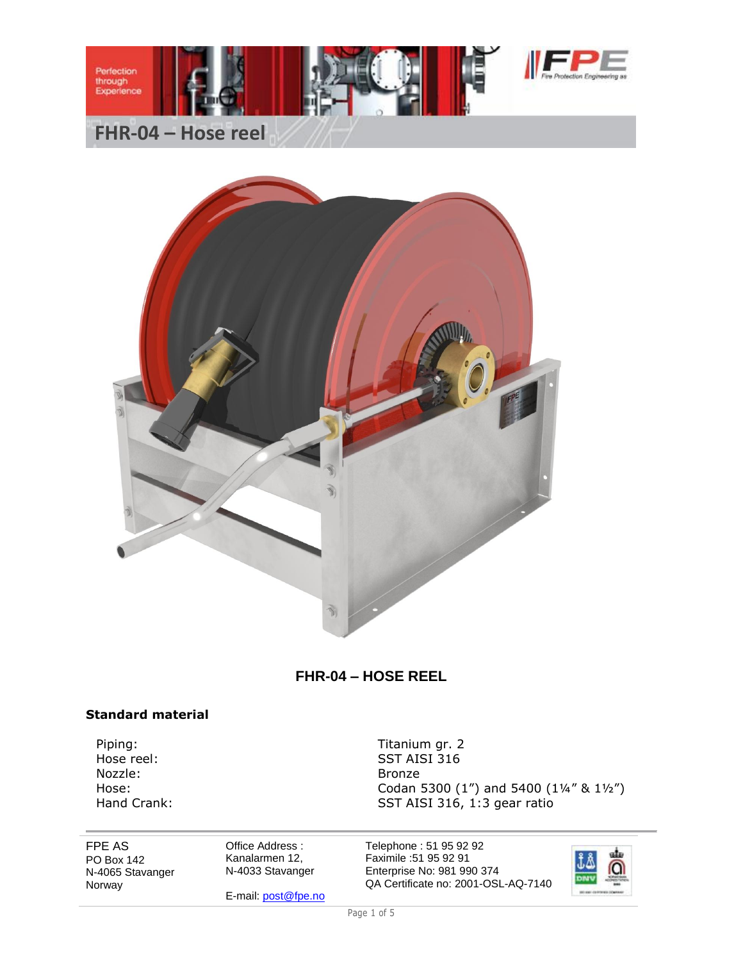



# **FHR-04 – HOSE REEL**

#### **Standard material**

Nozzle: Bronze

Piping: Titanium gr. 2 Hose reel: SST AISI 316 Hose: Codan 5300 (1") and 5400 (14" & 11/2")<br>
Hand Crank: SST AISI 316, 1:3 gear ratio SST AISI 316, 1:3 gear ratio

FPE AS PO Box 142 N-4065 Stavanger Norway

Office Address : Kanalarmen 12, N-4033 Stavanger

E-mail: post@fpe.no

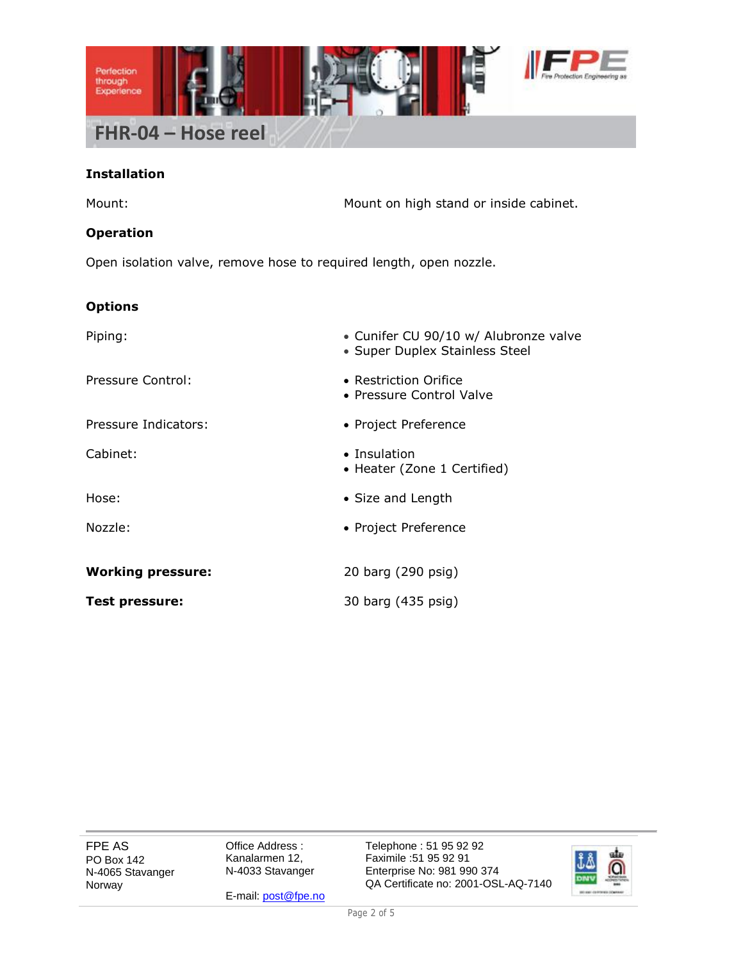

### **Installation**

Mount: Mount: Mount on high stand or inside cabinet.

### **Operation**

Open isolation valve, remove hose to required length, open nozzle.

## **Options**

| Piping:                  | • Cunifer CU 90/10 w/ Alubronze valve<br>• Super Duplex Stainless Steel |  |
|--------------------------|-------------------------------------------------------------------------|--|
| Pressure Control:        | • Restriction Orifice<br>• Pressure Control Valve                       |  |
| Pressure Indicators:     | • Project Preference                                                    |  |
| Cabinet:                 | • Insulation<br>• Heater (Zone 1 Certified)                             |  |
| Hose:                    | • Size and Length                                                       |  |
| Nozzle:                  | • Project Preference                                                    |  |
|                          |                                                                         |  |
| <b>Working pressure:</b> | 20 barg (290 psig)                                                      |  |
| Test pressure:           | 30 barg (435 psig)                                                      |  |

FPE AS PO Box 142 N-4065 Stavanger Norway

Office Address : Kanalarmen 12, N-4033 Stavanger

E-mail: post@fpe.no

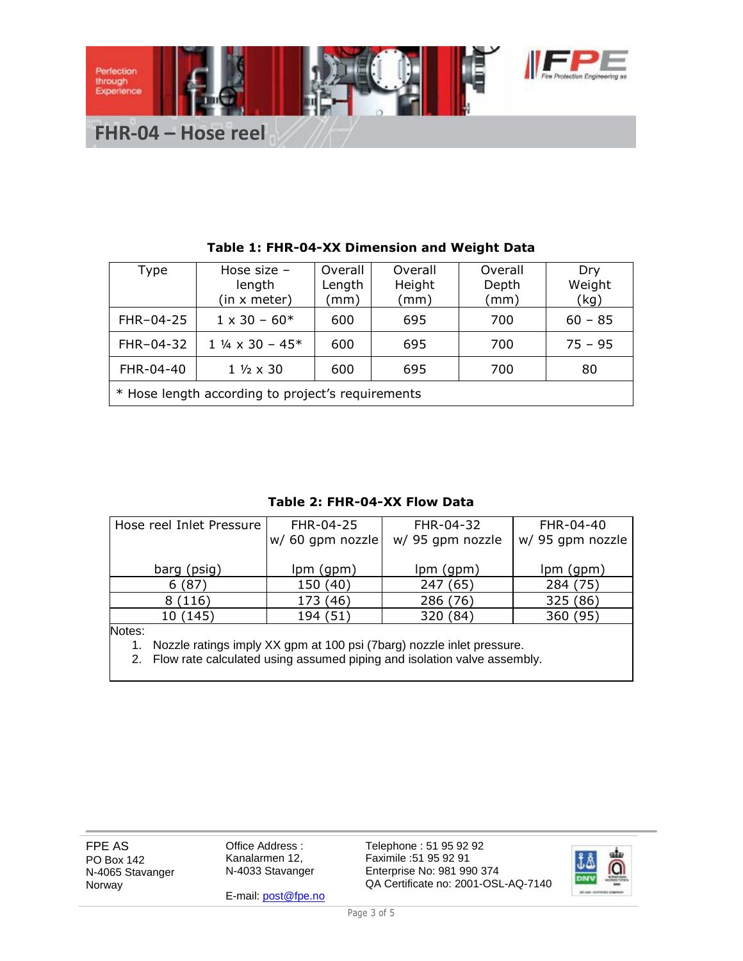

| Type                                              | Hose size $-$<br>length<br>(in x meter) | Overall<br>Length<br>mm) | Overall<br>Height<br>(mm) | Overall<br>Depth<br>(mm) | Dry<br>Weight<br>(kg) |  |  |
|---------------------------------------------------|-----------------------------------------|--------------------------|---------------------------|--------------------------|-----------------------|--|--|
| FHR-04-25                                         | $1 \times 30 - 60*$                     | 600                      | 695                       | 700                      | $60 - 85$             |  |  |
| FHR-04-32                                         | $1\frac{1}{4} \times 30 - 45^*$         | 600                      | 695                       | 700                      | $75 - 95$             |  |  |
| FHR-04-40                                         | $1\frac{1}{2} \times 30$                | 600                      | 695                       | 700                      | 80                    |  |  |
| * Hose length according to project's requirements |                                         |                          |                           |                          |                       |  |  |

**Table 1: FHR-04-XX Dimension and Weight Data**

## **Table 2: FHR-04-XX Flow Data**

| Hose reel Inlet Pressure | FHR-04-25         | FHR-04-32        | FHR-04-40        |
|--------------------------|-------------------|------------------|------------------|
|                          | $w/60$ gpm nozzle | w/ 95 gpm nozzle | w/ 95 gpm nozzle |
|                          |                   |                  |                  |
| barg (psig)              | lpm (gpm)         | lpm (gpm)        | lpm (gpm)        |
| 6(87)                    | 150 (40)          | 247 (65)         | 284 (75)         |
| 8(116)                   | 173 (46)          | 286 (76)         | 325 (86)         |
| 10 (145)                 | 194 (51)          | 320 (84)         | 360 (95)         |
| $\mathbf{N}$             |                   |                  |                  |

Notes:

1. Nozzle ratings imply XX gpm at 100 psi (7barg) nozzle inlet pressure.

2. Flow rate calculated using assumed piping and isolation valve assembly.

FPE AS PO Box 142 N-4065 Stavanger Norway

Office Address : Kanalarmen 12, N-4033 Stavanger

E-mail: post@fpe.no

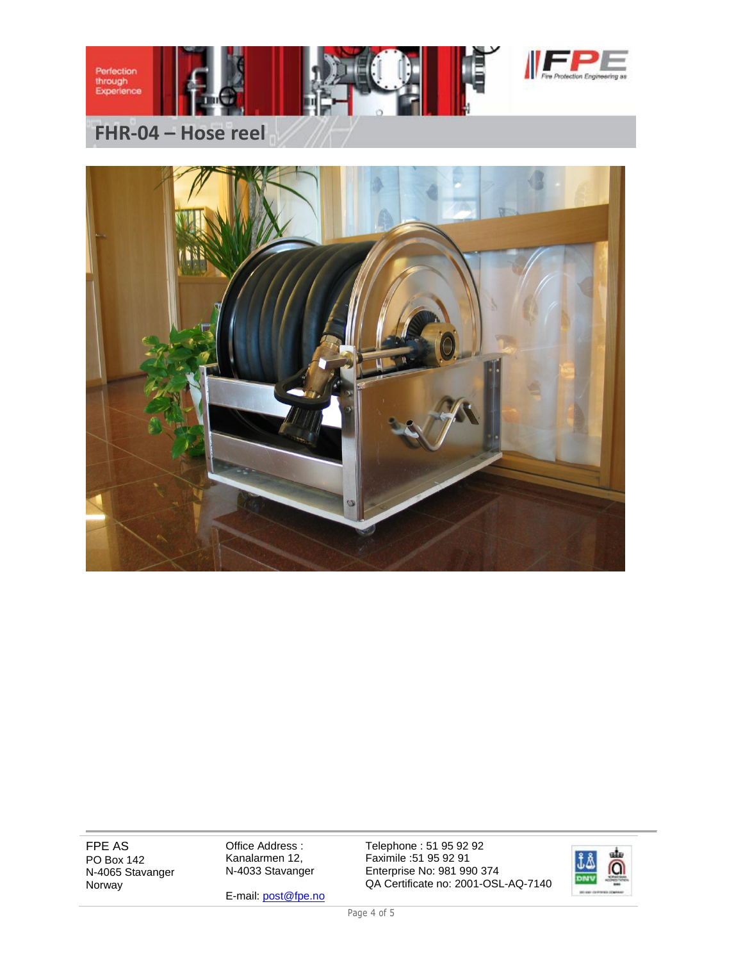

# **FHR-04 – Hose reel**



FPE AS PO Box 142 N-4065 Stavanger Norway

Office Address : Kanalarmen 12, N-4033 Stavanger

E-mail: post@fpe.no